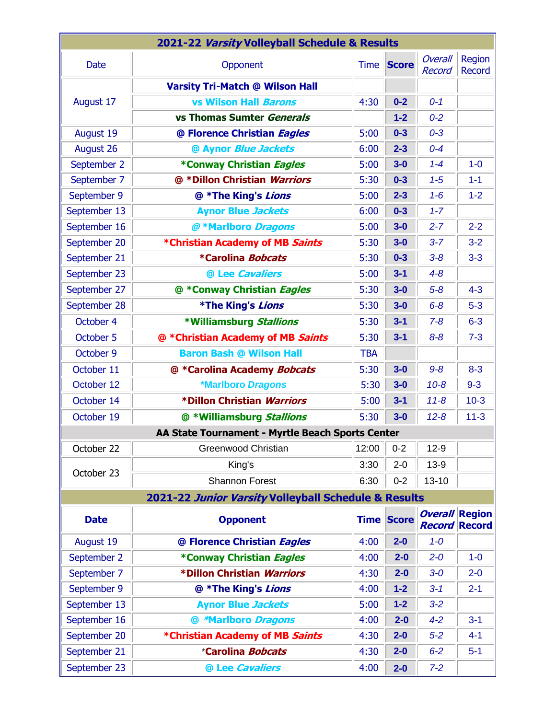| 2021-22 Varsity Volleyball Schedule & Results        |                                                  |             |                   |                                        |                         |
|------------------------------------------------------|--------------------------------------------------|-------------|-------------------|----------------------------------------|-------------------------|
| <b>Date</b>                                          | Opponent                                         | <b>Time</b> | <b>Score</b>      | Overall<br><b>Record</b>               | Region<br><b>Record</b> |
| August 17                                            | <b>Varsity Tri-Match @ Wilson Hall</b>           |             |                   |                                        |                         |
|                                                      | <b>vs Wilson Hall Barons</b>                     | 4:30        | $0 - 2$           | $0 - 1$                                |                         |
|                                                      | vs Thomas Sumter Generals                        |             | $1-2$             | $0 - 2$                                |                         |
| August 19                                            | @ Florence Christian Eagles                      | 5:00        | $0 - 3$           | $0 - 3$                                |                         |
| August 26                                            | @ Aynor Blue Jackets                             | 6:00        | $2 - 3$           | $0 - 4$                                |                         |
| September 2                                          | *Conway Christian Eagles                         | 5:00        | $3-0$             | $1 - 4$                                | $1-0$                   |
| September 7                                          | @ *Dillon Christian Warriors                     | 5:30        | $0 - 3$           | $1 - 5$                                | $1 - 1$                 |
| September 9                                          | @ *The King's Lions                              | 5:00        | $2 - 3$           | $1 - 6$                                | $1 - 2$                 |
| September 13                                         | <b>Aynor Blue Jackets</b>                        | 6:00        | $0 - 3$           | $1 - 7$                                |                         |
| September 16                                         | @ *Marlboro Dragons                              | 5:00        | $3-0$             | $2 - 7$                                | $2 - 2$                 |
| September 20                                         | *Christian Academy of MB Saints                  | 5:30        | $3-0$             | $3 - 7$                                | $3 - 2$                 |
| September 21                                         | *Carolina Bobcats                                | 5:30        | $0 - 3$           | $3 - 8$                                | $3-3$                   |
| September 23                                         | @ Lee Cavaliers                                  | 5:00        | $3 - 1$           | $4 - 8$                                |                         |
| September 27                                         | @ *Conway Christian Eagles                       | 5:30        | $3-0$             | $5-8$                                  | $4 - 3$                 |
| September 28                                         | *The King's Lions                                | 5:30        | $3-0$             | $6 - 8$                                | $5-3$                   |
| October 4                                            | *Williamsburg Stallions                          | 5:30        | $3 - 1$           | $7 - 8$                                | $6 - 3$                 |
| October 5                                            | @ *Christian Academy of MB Saints                | 5:30        | $3 - 1$           | $8 - 8$                                | $7 - 3$                 |
| October 9                                            | <b>Baron Bash @ Wilson Hall</b>                  | <b>TBA</b>  |                   |                                        |                         |
| October 11                                           | @ *Carolina Academy Bobcats                      | 5:30        | $3-0$             | $9 - 8$                                | $8 - 3$                 |
| October 12                                           | *Marlboro Dragons                                | 5:30        | $3-0$             | $10 - 8$                               | $9 - 3$                 |
| October 14                                           | *Dillon Christian Warriors                       | 5:00        | $3 - 1$           | $11 - 8$                               | $10-3$                  |
| October 19                                           | @ *Williamsburg Stallions                        | 5:30        | $3-0$             | $12 - 8$                               | $11 - 3$                |
|                                                      | AA State Tournament - Myrtle Beach Sports Center |             |                   |                                        |                         |
| October 22                                           | <b>Greenwood Christian</b>                       | 12:00       | $0 - 2$           | $12-9$                                 |                         |
| October 23                                           | King's                                           | 3:30        | $2 - 0$           | $13-9$                                 |                         |
|                                                      | <b>Shannon Forest</b>                            | 6:30        | $0 - 2$           | $13 - 10$                              |                         |
| 2021-22 Junior Varsity Volleyball Schedule & Results |                                                  |             |                   |                                        |                         |
| <b>Date</b>                                          | <b>Opponent</b>                                  |             | <b>Time Score</b> | <b>Overall Region</b><br><b>Record</b> | <b>Record</b>           |
| August 19                                            | @ Florence Christian Eagles                      | 4:00        | $2-0$             | $1 - 0$                                |                         |
| September 2                                          | *Conway Christian Eagles                         | 4:00        | $2 - 0$           | $2 - 0$                                | $1-0$                   |
| September 7                                          | *Dillon Christian Warriors                       | 4:30        | $2 - 0$           | $3-0$                                  | $2 - 0$                 |
| September 9                                          | @ *The King's Lions                              | 4:00        | $1 - 2$           | $3 - 1$                                | $2 - 1$                 |
| September 13                                         | <b>Aynor Blue Jackets</b>                        | 5:00        | $1-2$             | $3-2$                                  |                         |
| September 16                                         | @ *Marlboro Dragons                              | 4:00        | $2 - 0$           | $4 - 2$                                | $3 - 1$                 |
| September 20                                         | *Christian Academy of MB Saints                  | 4:30        | $2-0$             | $5-2$                                  | $4 - 1$                 |
| September 21                                         | *Carolina Bobcats                                | 4:30        | $2-0$             | $6-2$                                  | $5-1$                   |
| September 23                                         | @ Lee Cavaliers                                  | 4:00        | $2-0$             | $7-2$                                  |                         |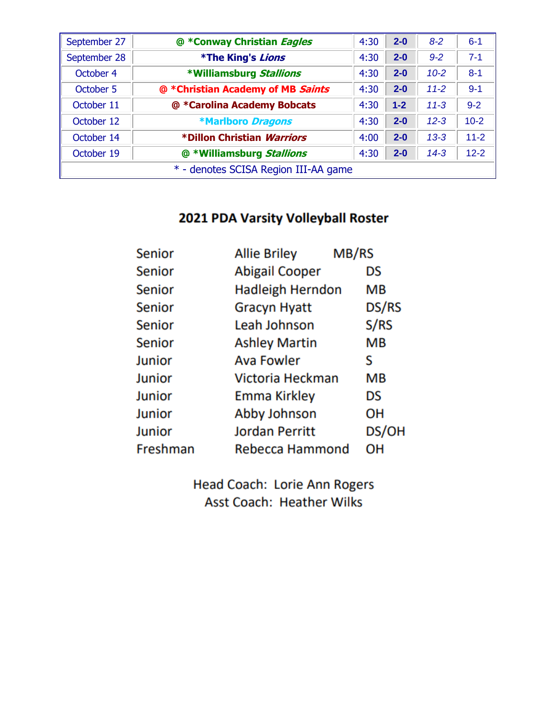| September 27                         | @ *Conway Christian <i>Eagles</i> | 4:30 | $2 - 0$ | $8 - 2$  | $6 - 1$  |
|--------------------------------------|-----------------------------------|------|---------|----------|----------|
| September 28                         | *The King's Lions                 | 4:30 | $2 - 0$ | $9 - 2$  | $7 - 1$  |
| October 4                            | *Williamsburg Stallions           | 4:30 | $2 - 0$ | $10 - 2$ | $8 - 1$  |
| October 5                            | @ *Christian Academy of MB Saints | 4:30 | $2 - 0$ | $11 - 2$ | $9 - 1$  |
| October 11                           | @ *Carolina Academy Bobcats       | 4:30 | $1 - 2$ | $11 - 3$ | $9 - 2$  |
| October 12                           | <b>*Marlboro Dragons</b>          | 4:30 | $2 - 0$ | $12 - 3$ | $10-2$   |
| October 14                           | *Dillon Christian <i>Warriors</i> | 4:00 | $2 - 0$ | $13 - 3$ | $11 - 2$ |
| October 19                           | @ *Williamsburg Stallions         | 4:30 | $2 - 0$ | $14 - 3$ | $12 - 2$ |
| * - denotes SCISA Region III-AA game |                                   |      |         |          |          |

## 2021 PDA Varsity Volleyball Roster

| <b>Senior</b> | <b>Allie Briley</b>     | MB/RS |           |
|---------------|-------------------------|-------|-----------|
| <b>Senior</b> | <b>Abigail Cooper</b>   |       | DS        |
| <b>Senior</b> | <b>Hadleigh Herndon</b> |       | <b>MB</b> |
| <b>Senior</b> | <b>Gracyn Hyatt</b>     |       | DS/RS     |
| <b>Senior</b> | Leah Johnson            |       | S/RS      |
| Senior        | <b>Ashley Martin</b>    |       | MB        |
| Junior        | <b>Ava Fowler</b>       |       | S         |
| Junior        | Victoria Heckman        |       | <b>MB</b> |
| Junior        | <b>Emma Kirkley</b>     |       | DS        |
| Junior        | Abby Johnson            |       | OН        |
| Junior        | <b>Jordan Perritt</b>   |       | DS/OH     |
| Freshman      | Rebecca Hammond         |       | он        |

Head Coach: Lorie Ann Rogers **Asst Coach: Heather Wilks**